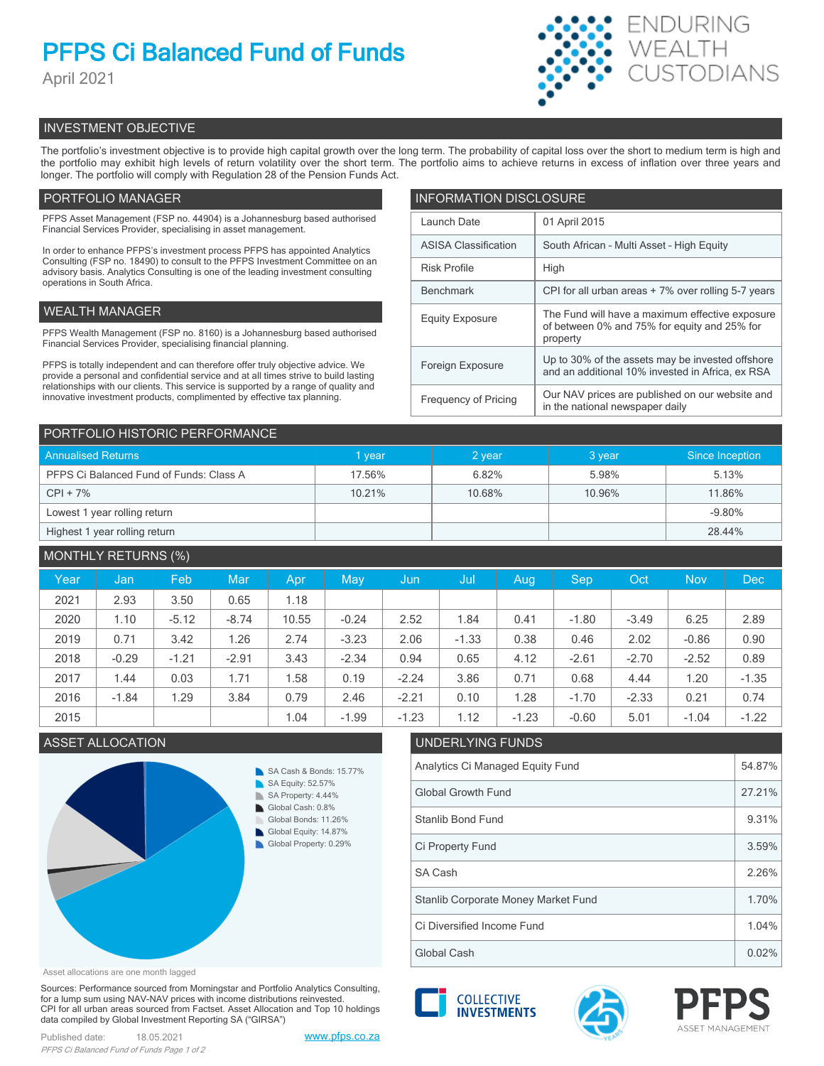# **PFPS Ci Balanced Fund of Funds**

April 2021



# INVESTMENT OBJECTIVE

The portfolio's investment objective is to provide high capital growth over the long term. The probability of capital loss over the short to medium term is high and the portfolio may exhibit high levels of return volatility over the short term. The portfolio aims to achieve returns in excess of inflation over three years and longer. The portfolio will comply with Regulation 28 of the Pension Funds Act.

# PORTFOLIO MANAGER

PFPS Asset Management (FSP no. 44904) is a Johannesburg based authorised Financial Services Provider, specialising in asset management.

In order to enhance PFPS's investment process PFPS has appointed Analytics Consulting (FSP no. 18490) to consult to the PFPS Investment Committee on an advisory basis. Analytics Consulting is one of the leading investment consulting operations in South Africa.

# WEALTH MANAGER

PFPS Wealth Management (FSP no. 8160) is a Johannesburg based authorised Financial Services Provider, specialising financial planning.

PFPS is totally independent and can therefore offer truly objective advice. We provide a personal and confidential service and at all times strive to build lasting relationships with our clients. This service is supported by a range of quality and innovative investment products, complimented by effective tax planning.

| <b>INFORMATION DISCLOSURE</b> |                                                                                                             |  |  |  |  |
|-------------------------------|-------------------------------------------------------------------------------------------------------------|--|--|--|--|
| Launch Date                   | 01 April 2015                                                                                               |  |  |  |  |
| <b>ASISA Classification</b>   | South African - Multi Asset - High Equity                                                                   |  |  |  |  |
| <b>Risk Profile</b>           | High                                                                                                        |  |  |  |  |
| <b>Benchmark</b>              | CPI for all urban areas + 7% over rolling 5-7 years                                                         |  |  |  |  |
| <b>Equity Exposure</b>        | The Fund will have a maximum effective exposure<br>of between 0% and 75% for equity and 25% for<br>property |  |  |  |  |
| Foreign Exposure              | Up to 30% of the assets may be invested offshore<br>and an additional 10% invested in Africa, ex RSA        |  |  |  |  |
| <b>Frequency of Pricing</b>   | Our NAV prices are published on our website and<br>in the national newspaper daily                          |  |  |  |  |

| PORTFOLIO HISTORIC PERFORMANCE          |        |        |        |                 |  |  |  |
|-----------------------------------------|--------|--------|--------|-----------------|--|--|--|
| <b>Annualised Returns</b>               | 1 year | 2 year | 3 year | Since Inception |  |  |  |
| PFPS Ci Balanced Fund of Funds: Class A | 17.56% | 6.82%  | 5.98%  | 5.13%           |  |  |  |
| $CPI + 7%$                              | 10.21% | 10.68% | 10.96% | 11.86%          |  |  |  |
| Lowest 1 year rolling return            |        |        |        | $-9.80%$        |  |  |  |
| Highest 1 year rolling return           |        |        |        | 28.44%          |  |  |  |

| <b>MONTHLY RETURNS (%)</b> |         |         |         |       |         |         |         |         |         |            |            |         |
|----------------------------|---------|---------|---------|-------|---------|---------|---------|---------|---------|------------|------------|---------|
| Year                       | Jan     | Feb     | Mar     | Apr   | May     | Jun     | Jul     | Aug     | Sep     | <b>Oct</b> | <b>Nov</b> | Dec     |
| 2021                       | 2.93    | 3.50    | 0.65    | 1.18  |         |         |         |         |         |            |            |         |
| 2020                       | 1.10    | $-5.12$ | $-8.74$ | 10.55 | $-0.24$ | 2.52    | 1.84    | 0.41    | $-1.80$ | $-3.49$    | 6.25       | 2.89    |
| 2019                       | 0.71    | 3.42    | 1.26    | 2.74  | $-3.23$ | 2.06    | $-1.33$ | 0.38    | 0.46    | 2.02       | $-0.86$    | 0.90    |
| 2018                       | $-0.29$ | $-1.21$ | $-2.91$ | 3.43  | $-2.34$ | 0.94    | 0.65    | 4.12    | $-2.61$ | $-2.70$    | $-2.52$    | 0.89    |
| 2017                       | 1.44    | 0.03    | 1.71    | 1.58  | 0.19    | $-2.24$ | 3.86    | 0.71    | 0.68    | 4.44       | 1.20       | $-1.35$ |
| 2016                       | $-1.84$ | 1.29    | 3.84    | 0.79  | 2.46    | $-2.21$ | 0.10    | 1.28    | $-1.70$ | $-2.33$    | 0.21       | 0.74    |
| 2015                       |         |         |         | 1.04  | $-1.99$ | $-1.23$ | 1.12    | $-1.23$ | $-0.60$ | 5.01       | $-1.04$    | $-1.22$ |



# ASSET ALLOCATION UNDERLYING FUNDS Analytics Ci Managed Equity Fund 54.87% Global Growth Fund 27.21% Stanlib Bond Fund 9.31% SA Cash 2.26% Ci Property Fund 3.59% Ci Diversified Income Fund 1.04% Stanlib Corporate Money Market Fund 1.70%

Global Cash  $\vert$  0.02%

Asset allocations are one month lagged

Sources: Performance sourced from Morningstar and Portfolio Analytics Consulting, for a lump sum using NAV-NAV prices with income distributions reinvested. CPI for all urban areas sourced from Factset. Asset Allocation and Top 10 holdings data compiled by Global Investment Reporting SA ("GIRSA")